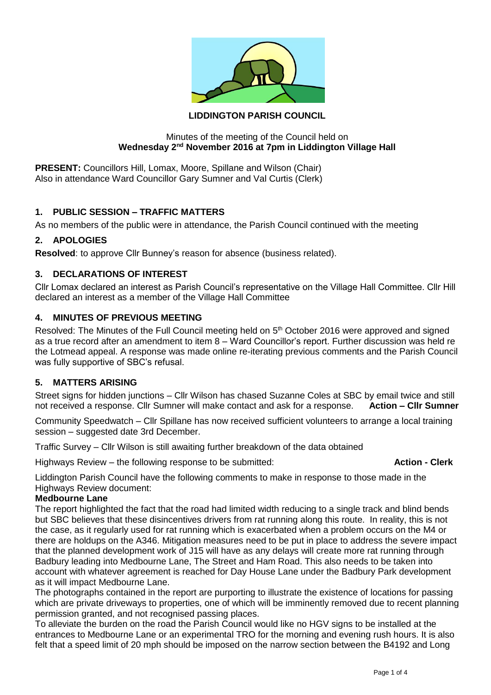

# **LIDDINGTON PARISH COUNCIL**

#### Minutes of the meeting of the Council held on **Wednesday 2nd November 2016 at 7pm in Liddington Village Hall**

**PRESENT:** Councillors Hill, Lomax, Moore, Spillane and Wilson (Chair) Also in attendance Ward Councillor Gary Sumner and Val Curtis (Clerk)

# **1. PUBLIC SESSION – TRAFFIC MATTERS**

As no members of the public were in attendance, the Parish Council continued with the meeting

### **2. APOLOGIES**

**Resolved**: to approve Cllr Bunney's reason for absence (business related).

### **3. DECLARATIONS OF INTEREST**

Cllr Lomax declared an interest as Parish Council's representative on the Village Hall Committee. Cllr Hill declared an interest as a member of the Village Hall Committee

#### **4. MINUTES OF PREVIOUS MEETING**

Resolved: The Minutes of the Full Council meeting held on 5<sup>th</sup> October 2016 were approved and signed as a true record after an amendment to item 8 – Ward Councillor's report. Further discussion was held re the Lotmead appeal. A response was made online re-iterating previous comments and the Parish Council was fully supportive of SBC's refusal.

### **5. MATTERS ARISING**

Street signs for hidden junctions – Cllr Wilson has chased Suzanne Coles at SBC by email twice and still not received a response. Cllr Sumner will make contact and ask for a response. **Action – Cllr Sumner**

Community Speedwatch – Cllr Spillane has now received sufficient volunteers to arrange a local training session – suggested date 3rd December.

Traffic Survey – Cllr Wilson is still awaiting further breakdown of the data obtained

Highways Review – the following response to be submitted: **Action - Clerk** 

Liddington Parish Council have the following comments to make in response to those made in the Highways Review document:

#### **Medbourne Lane**

The report highlighted the fact that the road had limited width reducing to a single track and blind bends but SBC believes that these disincentives drivers from rat running along this route. In reality, this is not the case, as it regularly used for rat running which is exacerbated when a problem occurs on the M4 or there are holdups on the A346. Mitigation measures need to be put in place to address the severe impact that the planned development work of J15 will have as any delays will create more rat running through Badbury leading into Medbourne Lane, The Street and Ham Road. This also needs to be taken into account with whatever agreement is reached for Day House Lane under the Badbury Park development as it will impact Medbourne Lane.

The photographs contained in the report are purporting to illustrate the existence of locations for passing which are private driveways to properties, one of which will be imminently removed due to recent planning permission granted, and not recognised passing places.

To alleviate the burden on the road the Parish Council would like no HGV signs to be installed at the entrances to Medbourne Lane or an experimental TRO for the morning and evening rush hours. It is also felt that a speed limit of 20 mph should be imposed on the narrow section between the B4192 and Long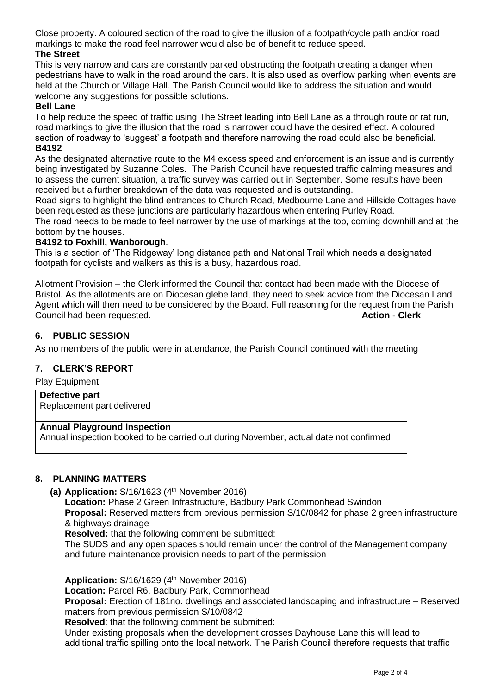Close property. A coloured section of the road to give the illusion of a footpath/cycle path and/or road markings to make the road feel narrower would also be of benefit to reduce speed.

# **The Street**

This is very narrow and cars are constantly parked obstructing the footpath creating a danger when pedestrians have to walk in the road around the cars. It is also used as overflow parking when events are held at the Church or Village Hall. The Parish Council would like to address the situation and would welcome any suggestions for possible solutions.

#### **Bell Lane**

To help reduce the speed of traffic using The Street leading into Bell Lane as a through route or rat run, road markings to give the illusion that the road is narrower could have the desired effect. A coloured section of roadway to 'suggest' a footpath and therefore narrowing the road could also be beneficial. **B4192** 

As the designated alternative route to the M4 excess speed and enforcement is an issue and is currently being investigated by Suzanne Coles. The Parish Council have requested traffic calming measures and to assess the current situation, a traffic survey was carried out in September. Some results have been received but a further breakdown of the data was requested and is outstanding.

Road signs to highlight the blind entrances to Church Road, Medbourne Lane and Hillside Cottages have been requested as these junctions are particularly hazardous when entering Purley Road.

The road needs to be made to feel narrower by the use of markings at the top, coming downhill and at the bottom by the houses.

#### **B4192 to Foxhill, Wanborough**.

This is a section of 'The Ridgeway' long distance path and National Trail which needs a designated footpath for cyclists and walkers as this is a busy, hazardous road.

Allotment Provision – the Clerk informed the Council that contact had been made with the Diocese of Bristol. As the allotments are on Diocesan glebe land, they need to seek advice from the Diocesan Land Agent which will then need to be considered by the Board. Full reasoning for the request from the Parish Council had been requested. **Action - Clerk**

#### **6. PUBLIC SESSION**

As no members of the public were in attendance, the Parish Council continued with the meeting

### **7. CLERK'S REPORT**

Play Equipment

#### **Defective part** Replacement part delivered

#### **Annual Playground Inspection**

Annual inspection booked to be carried out during November, actual date not confirmed

### **8. PLANNING MATTERS**

**(a) Application:** S/16/1623 (4 th November 2016)

**Location:** Phase 2 Green Infrastructure, Badbury Park Commonhead Swindon **Proposal:** Reserved matters from previous permission S/10/0842 for phase 2 green infrastructure & highways drainage

**Resolved:** that the following comment be submitted:

The SUDS and any open spaces should remain under the control of the Management company and future maintenance provision needs to part of the permission

**Application:** S/16/1629 (4 th November 2016)

**Location:** Parcel R6, Badbury Park, Commonhead

**Proposal:** Erection of 181no. dwellings and associated landscaping and infrastructure – Reserved matters from previous permission S/10/0842

**Resolved**: that the following comment be submitted:

Under existing proposals when the development crosses Dayhouse Lane this will lead to additional traffic spilling onto the local network. The Parish Council therefore requests that traffic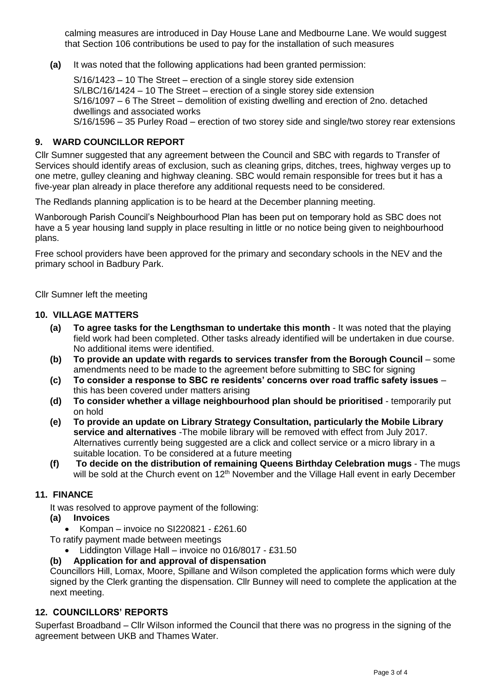calming measures are introduced in Day House Lane and Medbourne Lane. We would suggest that Section 106 contributions be used to pay for the installation of such measures

**(a)** It was noted that the following applications had been granted permission:

S/16/1423 – 10 The Street – erection of a single storey side extension S/LBC/16/1424 – 10 The Street – erection of a single storey side extension S/16/1097 – 6 The Street – demolition of existing dwelling and erection of 2no. detached dwellings and associated works S/16/1596 – 35 Purley Road – erection of two storey side and single/two storey rear extensions

### **9. WARD COUNCILLOR REPORT**

Cllr Sumner suggested that any agreement between the Council and SBC with regards to Transfer of Services should identify areas of exclusion, such as cleaning grips, ditches, trees, highway verges up to one metre, gulley cleaning and highway cleaning. SBC would remain responsible for trees but it has a five-year plan already in place therefore any additional requests need to be considered.

The Redlands planning application is to be heard at the December planning meeting.

Wanborough Parish Council's Neighbourhood Plan has been put on temporary hold as SBC does not have a 5 year housing land supply in place resulting in little or no notice being given to neighbourhood plans.

Free school providers have been approved for the primary and secondary schools in the NEV and the primary school in Badbury Park.

Cllr Sumner left the meeting

#### **10. VILLAGE MATTERS**

- **(a) To agree tasks for the Lengthsman to undertake this month** It was noted that the playing field work had been completed. Other tasks already identified will be undertaken in due course. No additional items were identified.
- **(b) To provide an update with regards to services transfer from the Borough Council** some amendments need to be made to the agreement before submitting to SBC for signing
- **(c) To consider a response to SBC re residents' concerns over road traffic safety issues** this has been covered under matters arising
- **(d) To consider whether a village neighbourhood plan should be prioritised**  temporarily put on hold
- **(e) To provide an update on Library Strategy Consultation, particularly the Mobile Library service and alternatives** -The mobile library will be removed with effect from July 2017. Alternatives currently being suggested are a click and collect service or a micro library in a suitable location. To be considered at a future meeting
- **(f) To decide on the distribution of remaining Queens Birthday Celebration mugs**  The mugs will be sold at the Church event on 12<sup>th</sup> November and the Village Hall event in early December

### **11. FINANCE**

It was resolved to approve payment of the following:

- **(a) Invoices**
	- Kompan invoice no SI220821 £261.60

To ratify payment made between meetings

• Liddington Village Hall – invoice no 016/8017 - £31.50

**(b) Application for and approval of dispensation** 

Councillors Hill, Lomax, Moore, Spillane and Wilson completed the application forms which were duly signed by the Clerk granting the dispensation. Cllr Bunney will need to complete the application at the next meeting.

# **12. COUNCILLORS' REPORTS**

Superfast Broadband – Cllr Wilson informed the Council that there was no progress in the signing of the agreement between UKB and Thames Water.